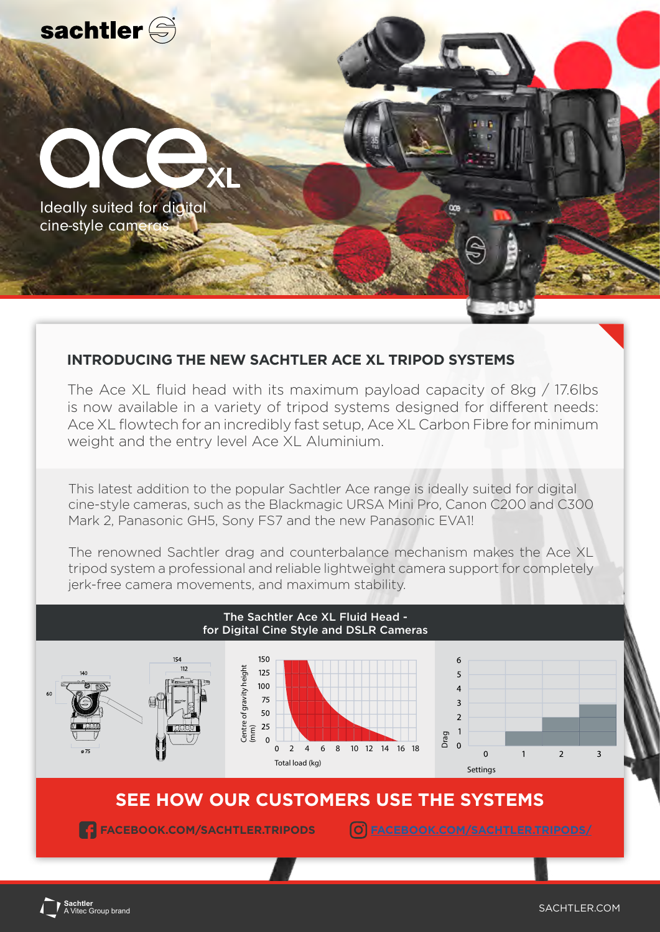

## **INTRODUCING THE NEW SACHTLER ACE XL TRIPOD SYSTEMS**

The Ace XL fluid head with its maximum payload capacity of 8kg / 17.6lbs is now available in a variety of tripod systems designed for different needs: Ace XL flowtech for an incredibly fast setup, Ace XL Carbon Fibre for minimum weight and the entry level Ace XL Aluminium.

This latest addition to the popular Sachtler Ace range is ideally suited for digital cine-style cameras, such as the Blackmagic URSA Mini Pro, Canon C200 and C300 Mark 2, Panasonic GH5, Sony FS7 and the new Panasonic EVA1!

The renowned Sachtler drag and counterbalance mechanism makes the Ace XL tripod system a professional and reliable lightweight camera support for completely jerk-free camera movements, and maximum stability.



**:htler**<br>itec Group brand